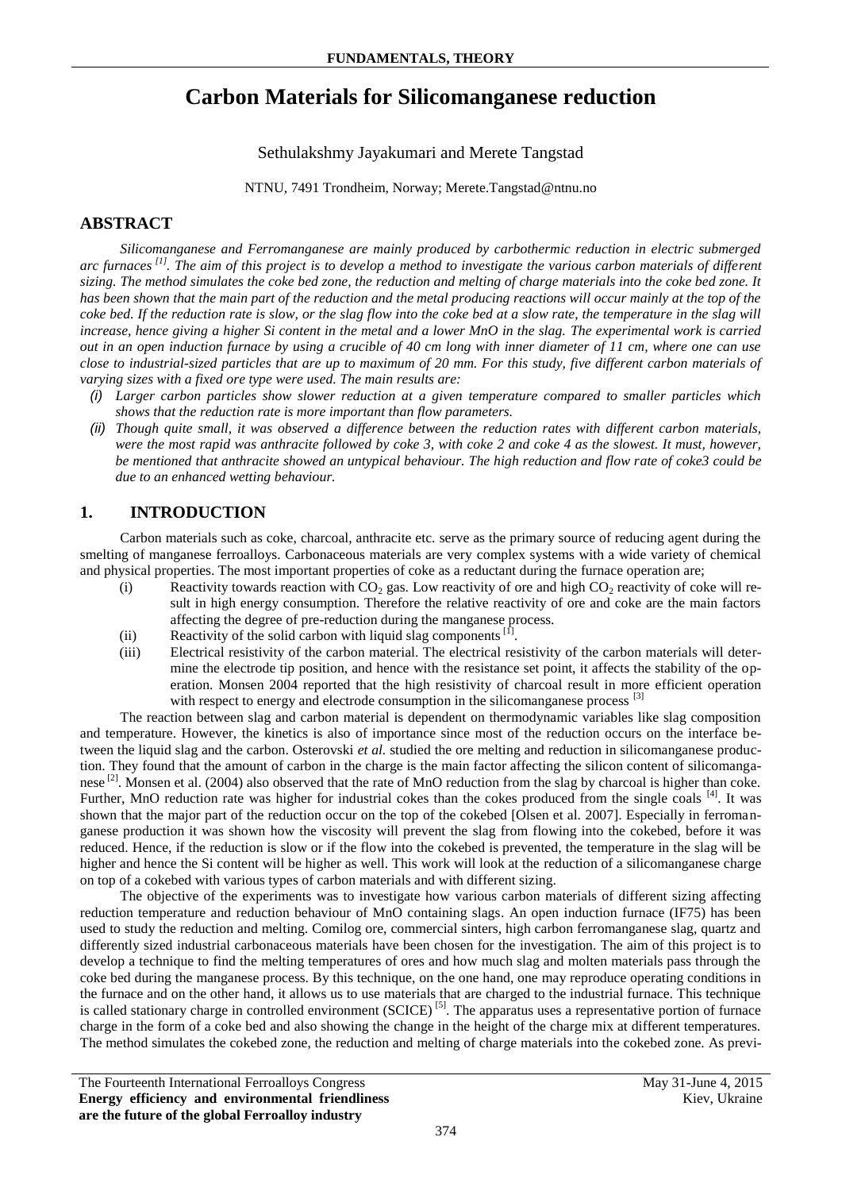# **Carbon Materials for Silicomanganese reduction**

# Sethulakshmy Jayakumari and Merete Tangstad

NTNU, 7491 Trondheim, Norway; Merete.Tangstad@ntnu.no

# **ABSTRACT**

*Silicomanganese and Ferromanganese are mainly produced by carbothermic reduction in electric submerged arc furnaces [1] . The aim of this project is to develop a method to investigate the various carbon materials of different sizing. The method simulates the coke bed zone, the reduction and melting of charge materials into the coke bed zone. It*  has been shown that the main part of the reduction and the metal producing reactions will occur mainly at the top of the *coke bed. If the reduction rate is slow, or the slag flow into the coke bed at a slow rate, the temperature in the slag will increase, hence giving a higher Si content in the metal and a lower MnO in the slag. The experimental work is carried out in an open induction furnace by using a crucible of 40 cm long with inner diameter of 11 cm, where one can use close to industrial-sized particles that are up to maximum of 20 mm. For this study, five different carbon materials of varying sizes with a fixed ore type were used. The main results are:*

- *(i) Larger carbon particles show slower reduction at a given temperature compared to smaller particles which shows that the reduction rate is more important than flow parameters.*
- *(ii) Though quite small, it was observed a difference between the reduction rates with different carbon materials, were the most rapid was anthracite followed by coke 3, with coke 2 and coke 4 as the slowest. It must, however, be mentioned that anthracite showed an untypical behaviour. The high reduction and flow rate of coke3 could be due to an enhanced wetting behaviour.*

# **1. INTRODUCTION**

Carbon materials such as coke, charcoal, anthracite etc. serve as the primary source of reducing agent during the smelting of manganese ferroalloys. Carbonaceous materials are very complex systems with a wide variety of chemical and physical properties. The most important properties of coke as a reductant during the furnace operation are;

- (i) Reactivity towards reaction with  $CO<sub>2</sub>$  gas. Low reactivity of ore and high  $CO<sub>2</sub>$  reactivity of coke will result in high energy consumption. Therefore the relative reactivity of ore and coke are the main factors affecting the degree of pre-reduction during the manganese process. .
- (ii) Reactivity of the solid carbon with liquid slag components  $\mathbf{I}^{\perp}$
- (iii) Electrical resistivity of the carbon material. The electrical resistivity of the carbon materials will determine the electrode tip position, and hence with the resistance set point, it affects the stability of the operation. Monsen 2004 reported that the high resistivity of charcoal result in more efficient operation with respect to energy and electrode consumption in the silicomanganese process <sup>[3]</sup>

The reaction between slag and carbon material is dependent on thermodynamic variables like slag composition and temperature. However, the kinetics is also of importance since most of the reduction occurs on the interface between the liquid slag and the carbon. Osterovski *et al.* studied the ore melting and reduction in silicomanganese production. They found that the amount of carbon in the charge is the main factor affecting the silicon content of silicomanganese  $^{[2]}$ . Monsen et al. (2004) also observed that the rate of MnO reduction from the slag by charcoal is higher than coke. Further, MnO reduction rate was higher for industrial cokes than the cokes produced from the single coals [4]. It was shown that the major part of the reduction occur on the top of the cokebed [Olsen et al. 2007]. Especially in ferromanganese production it was shown how the viscosity will prevent the slag from flowing into the cokebed, before it was reduced. Hence, if the reduction is slow or if the flow into the cokebed is prevented, the temperature in the slag will be higher and hence the Si content will be higher as well. This work will look at the reduction of a silicomanganese charge on top of a cokebed with various types of carbon materials and with different sizing.

The objective of the experiments was to investigate how various carbon materials of different sizing affecting reduction temperature and reduction behaviour of MnO containing slags. An open induction furnace (IF75) has been used to study the reduction and melting. Comilog ore, commercial sinters, high carbon ferromanganese slag, quartz and differently sized industrial carbonaceous materials have been chosen for the investigation. The aim of this project is to develop a technique to find the melting temperatures of ores and how much slag and molten materials pass through the coke bed during the manganese process. By this technique, on the one hand, one may reproduce operating conditions in the furnace and on the other hand, it allows us to use materials that are charged to the industrial furnace. This technique is called stationary charge in controlled environment (SCICE)<sup>[5]</sup>. The apparatus uses a representative portion of furnace charge in the form of a coke bed and also showing the change in the height of the charge mix at different temperatures. The method simulates the cokebed zone, the reduction and melting of charge materials into the cokebed zone. As previ-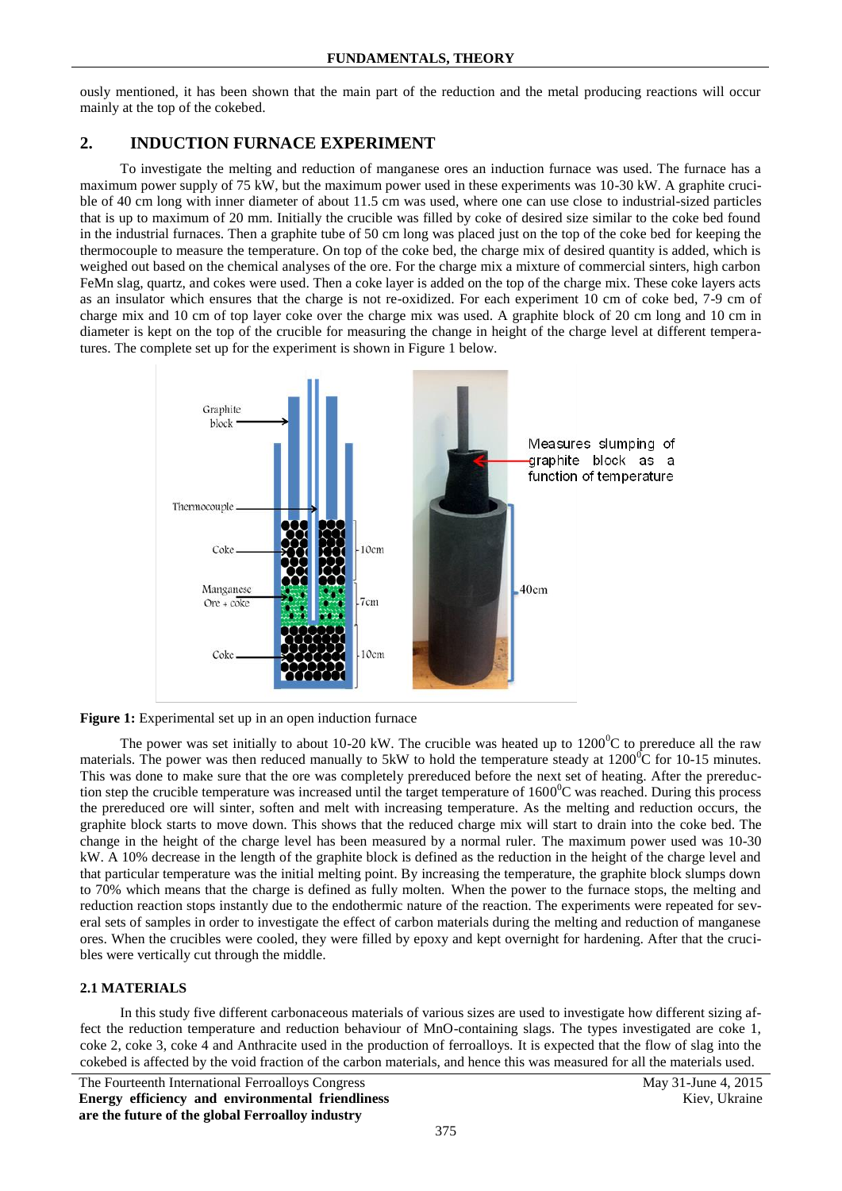ously mentioned, it has been shown that the main part of the reduction and the metal producing reactions will occur mainly at the top of the cokebed.

# **2. INDUCTION FURNACE EXPERIMENT**

To investigate the melting and reduction of manganese ores an induction furnace was used. The furnace has a maximum power supply of 75 kW, but the maximum power used in these experiments was 10-30 kW. A graphite crucible of 40 cm long with inner diameter of about 11.5 cm was used, where one can use close to industrial-sized particles that is up to maximum of 20 mm. Initially the crucible was filled by coke of desired size similar to the coke bed found in the industrial furnaces. Then a graphite tube of 50 cm long was placed just on the top of the coke bed for keeping the thermocouple to measure the temperature. On top of the coke bed, the charge mix of desired quantity is added, which is weighed out based on the chemical analyses of the ore. For the charge mix a mixture of commercial sinters, high carbon FeMn slag, quartz, and cokes were used. Then a coke layer is added on the top of the charge mix. These coke layers acts as an insulator which ensures that the charge is not re-oxidized. For each experiment 10 cm of coke bed, 7-9 cm of charge mix and 10 cm of top layer coke over the charge mix was used. A graphite block of 20 cm long and 10 cm in diameter is kept on the top of the crucible for measuring the change in height of the charge level at different temperatures. The complete set up for the experiment is shown in Figure 1 below.





The power was set initially to about 10-20 kW. The crucible was heated up to  $1200^{\circ}$ C to prereduce all the raw materials. The power was then reduced manually to 5kW to hold the temperature steady at  $1200^{\circ}$ C for 10-15 minutes. This was done to make sure that the ore was completely prereduced before the next set of heating. After the prereduction step the crucible temperature was increased until the target temperature of  $1600^{\circ}$ C was reached. During this process the prereduced ore will sinter, soften and melt with increasing temperature. As the melting and reduction occurs, the graphite block starts to move down. This shows that the reduced charge mix will start to drain into the coke bed. The change in the height of the charge level has been measured by a normal ruler. The maximum power used was 10-30 kW. A 10% decrease in the length of the graphite block is defined as the reduction in the height of the charge level and that particular temperature was the initial melting point. By increasing the temperature, the graphite block slumps down to 70% which means that the charge is defined as fully molten. When the power to the furnace stops, the melting and reduction reaction stops instantly due to the endothermic nature of the reaction. The experiments were repeated for several sets of samples in order to investigate the effect of carbon materials during the melting and reduction of manganese ores. When the crucibles were cooled, they were filled by epoxy and kept overnight for hardening. After that the crucibles were vertically cut through the middle.

#### **2.1 MATERIALS**

In this study five different carbonaceous materials of various sizes are used to investigate how different sizing affect the reduction temperature and reduction behaviour of MnO-containing slags. The types investigated are coke 1, coke 2, coke 3, coke 4 and Anthracite used in the production of ferroalloys. It is expected that the flow of slag into the cokebed is affected by the void fraction of the carbon materials, and hence this was measured for all the materials used.

The Fourteenth International Ferroalloys Congress May 31-June 4, 2015 **Energy efficiency and environmental friendliness are the future of the global Ferroalloy industry**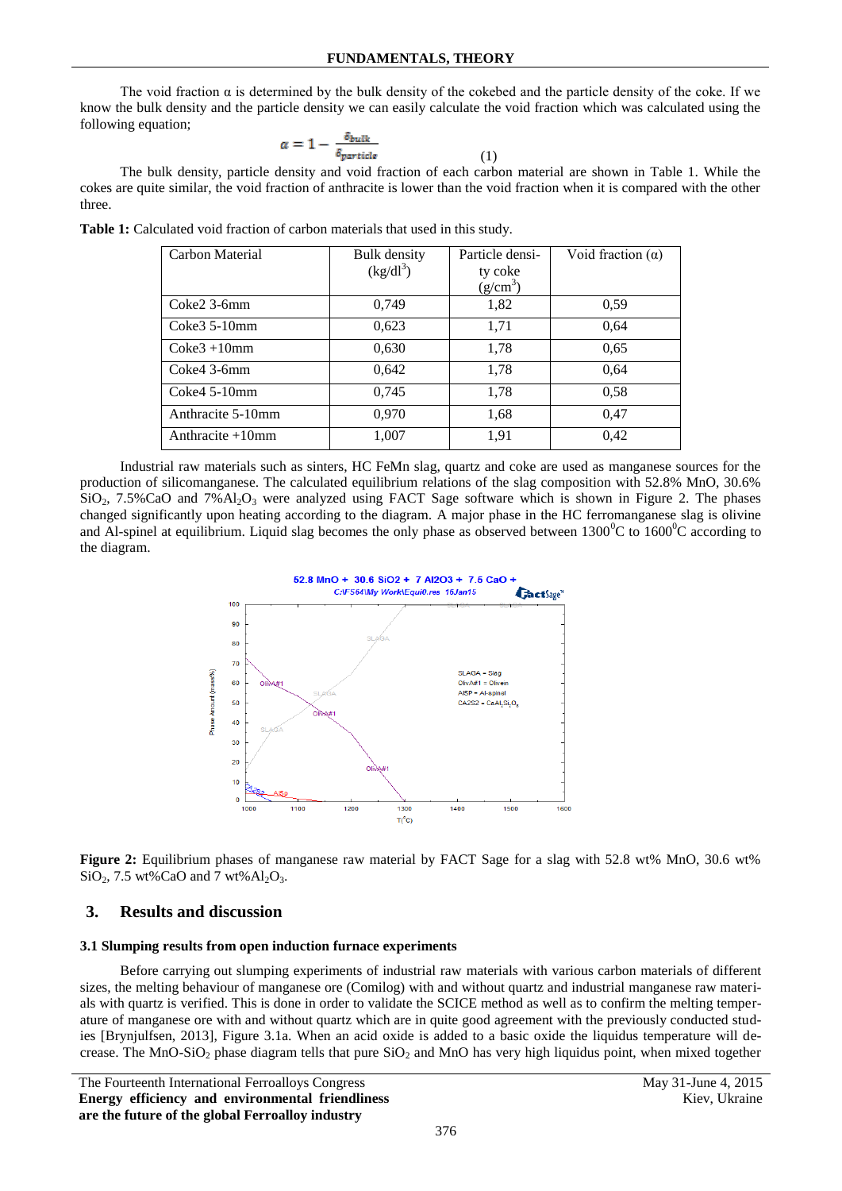The void fraction  $\alpha$  is determined by the bulk density of the cokebed and the particle density of the coke. If we know the bulk density and the particle density we can easily calculate the void fraction which was calculated using the following equation;

$$
\alpha = 1 - \frac{\delta_{bulk}}{\delta_{particle}} \tag{1}
$$

The bulk density, particle density and void fraction of each carbon material are shown in Table 1. While the cokes are quite similar, the void fraction of anthracite is lower than the void fraction when it is compared with the other three.

| Carbon Material     | <b>Bulk</b> density | Particle densi- | Void fraction $(\alpha)$ |
|---------------------|---------------------|-----------------|--------------------------|
|                     | $(kg/dl^3)$         | ty coke         |                          |
|                     |                     | $(g/cm^3)$      |                          |
| $Coke2$ 3-6mm       | 0,749               | 1,82            | 0.59                     |
| $Coke3 5-10mm$      | 0,623               | 1,71            | 0.64                     |
| $Coke3 + 10mm$      | 0,630               | 1,78            | 0.65                     |
| Coke4 3-6mm         | 0,642               | 1,78            | 0.64                     |
| $Coke4 5-10mm$      | 0,745               | 1,78            | 0.58                     |
| Anthracite 5-10mm   | 0.970               | 1,68            | 0.47                     |
| Anthracite $+10$ mm | 1,007               | 1,91            | 0,42                     |

**Table 1:** Calculated void fraction of carbon materials that used in this study.

Industrial raw materials such as sinters, HC FeMn slag, quartz and coke are used as manganese sources for the production of silicomanganese. The calculated equilibrium relations of the slag composition with 52.8% MnO, 30.6%  $\rm SiO_2$ , 7.5%CaO and 7%Al<sub>2</sub>O<sub>3</sub> were analyzed using FACT Sage software which is shown in Figure 2. The phases changed significantly upon heating according to the diagram. A major phase in the HC ferromanganese slag is olivine and Al-spinel at equilibrium. Liquid slag becomes the only phase as observed between  $1300^{\circ}$ C to  $1600^{\circ}$ C according to the diagram.



**Figure 2:** Equilibrium phases of manganese raw material by FACT Sage for a slag with 52.8 wt% MnO, 30.6 wt%  $SiO<sub>2</sub>$ , 7.5 wt%CaO and 7 wt%Al<sub>2</sub>O<sub>3</sub>.

### **3. Results and discussion**

#### **3.1 Slumping results from open induction furnace experiments**

Before carrying out slumping experiments of industrial raw materials with various carbon materials of different sizes, the melting behaviour of manganese ore (Comilog) with and without quartz and industrial manganese raw materials with quartz is verified. This is done in order to validate the SCICE method as well as to confirm the melting temperature of manganese ore with and without quartz which are in quite good agreement with the previously conducted studies [Brynjulfsen, 2013], Figure 3.1a. When an acid oxide is added to a basic oxide the liquidus temperature will decrease. The MnO-SiO<sub>2</sub> phase diagram tells that pure  $SiO<sub>2</sub>$  and MnO has very high liquidus point, when mixed together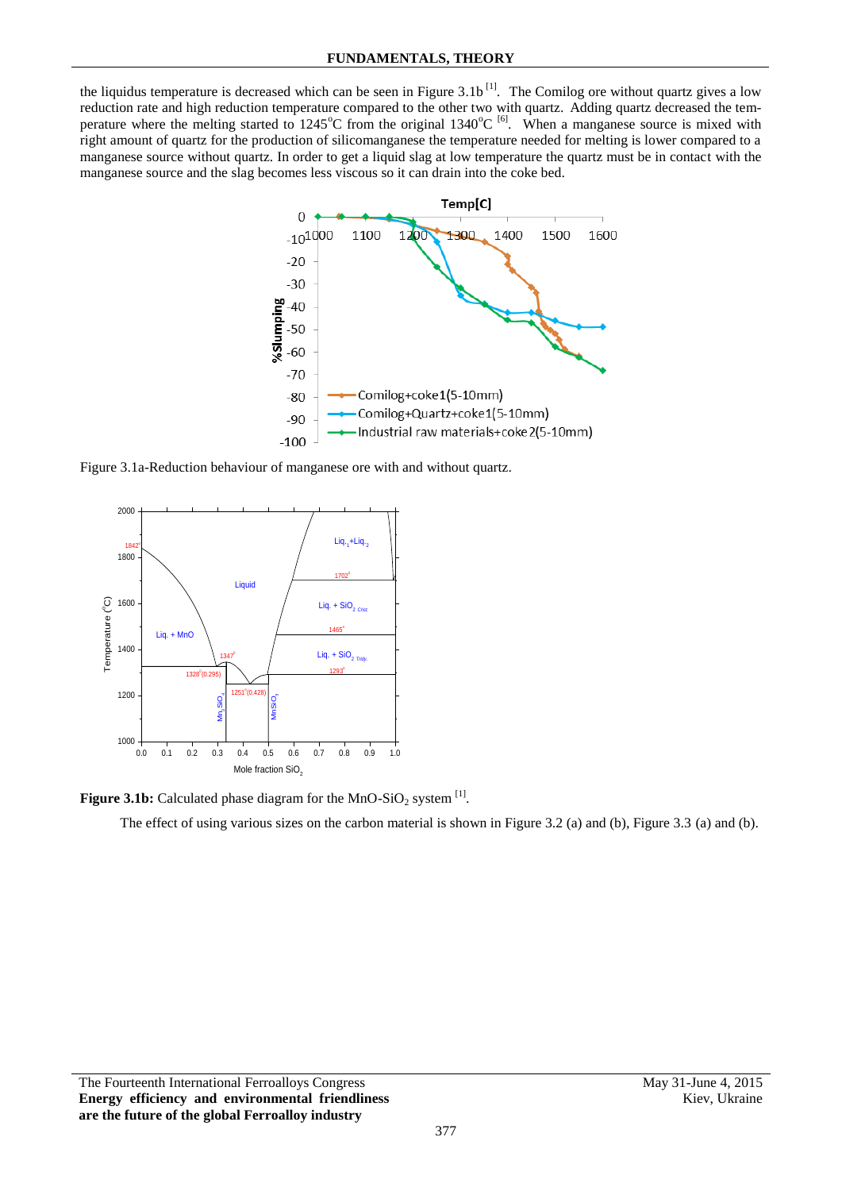the liquidus temperature is decreased which can be seen in Figure  $3.1b^{11}$ . The Comilog ore without quartz gives a low reduction rate and high reduction temperature compared to the other two with quartz. Adding quartz decreased the temperature where the melting started to  $1245^{\circ}$ C from the original  $1340^{\circ}$ C <sup>[6]</sup>. When a manganese source is mixed with right amount of quartz for the production of silicomanganese the temperature needed for melting is lower compared to a manganese source without quartz. In order to get a liquid slag at low temperature the quartz must be in contact with the manganese source and the slag becomes less viscous so it can drain into the coke bed.



Figure 3.1a-Reduction behaviour of manganese ore with and without quartz.



**Figure 3.1b:** Calculated phase diagram for the  $MnO-SiO<sub>2</sub>$  system  $^{[1]}$ .

The effect of using various sizes on the carbon material is shown in Figure 3.2 (a) and (b), Figure 3.3 (a) and (b).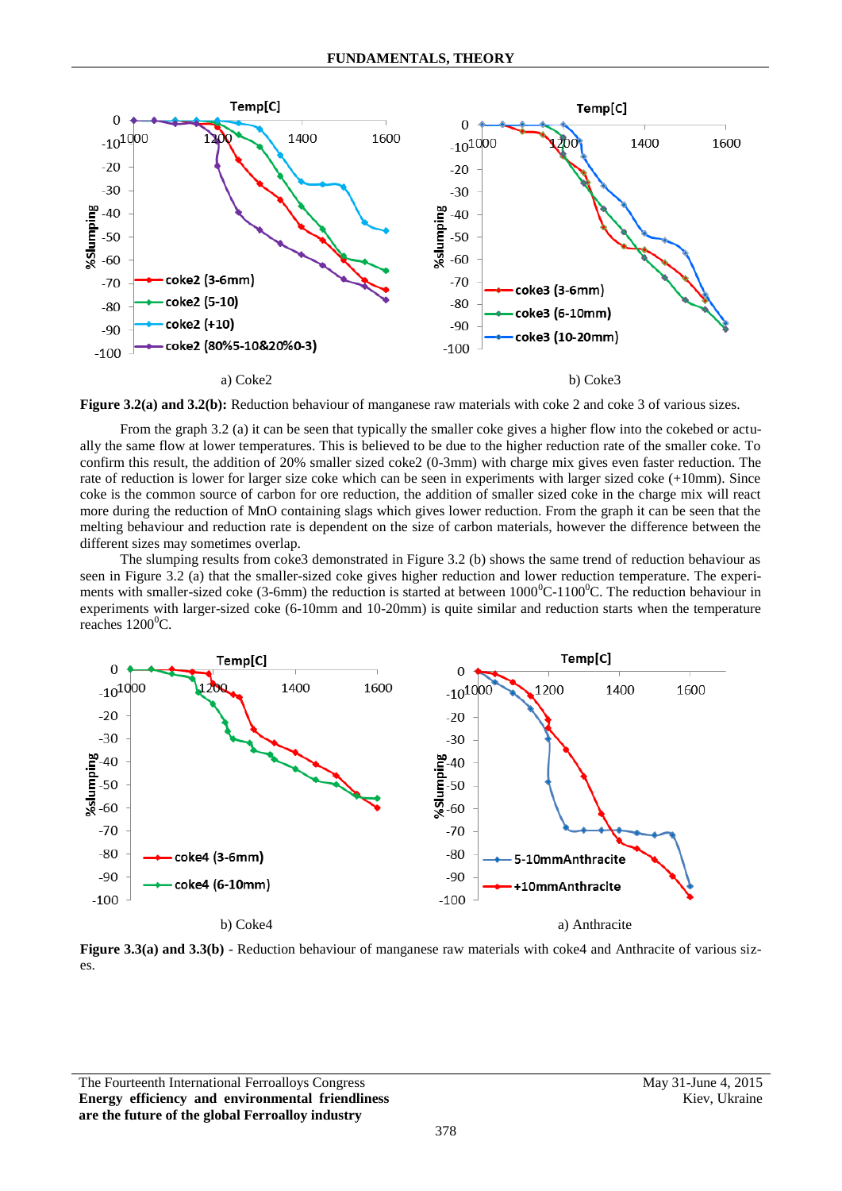

**Figure 3.2(a) and 3.2(b):** Reduction behaviour of manganese raw materials with coke 2 and coke 3 of various sizes.

From the graph 3.2 (a) it can be seen that typically the smaller coke gives a higher flow into the cokebed or actually the same flow at lower temperatures. This is believed to be due to the higher reduction rate of the smaller coke. To confirm this result, the addition of 20% smaller sized coke2 (0-3mm) with charge mix gives even faster reduction. The rate of reduction is lower for larger size coke which can be seen in experiments with larger sized coke (+10mm). Since coke is the common source of carbon for ore reduction, the addition of smaller sized coke in the charge mix will react more during the reduction of MnO containing slags which gives lower reduction. From the graph it can be seen that the melting behaviour and reduction rate is dependent on the size of carbon materials, however the difference between the different sizes may sometimes overlap.

The slumping results from coke3 demonstrated in Figure 3.2 (b) shows the same trend of reduction behaviour as seen in Figure 3.2 (a) that the smaller-sized coke gives higher reduction and lower reduction temperature. The experiments with smaller-sized coke (3-6mm) the reduction is started at between  $1000^{\circ}C$ -1100<sup>°</sup>C. The reduction behaviour in experiments with larger-sized coke (6-10mm and 10-20mm) is quite similar and reduction starts when the temperature reaches  $1200^0C$ .



**Figure 3.3(a) and 3.3(b)** - Reduction behaviour of manganese raw materials with coke4 and Anthracite of various sizes.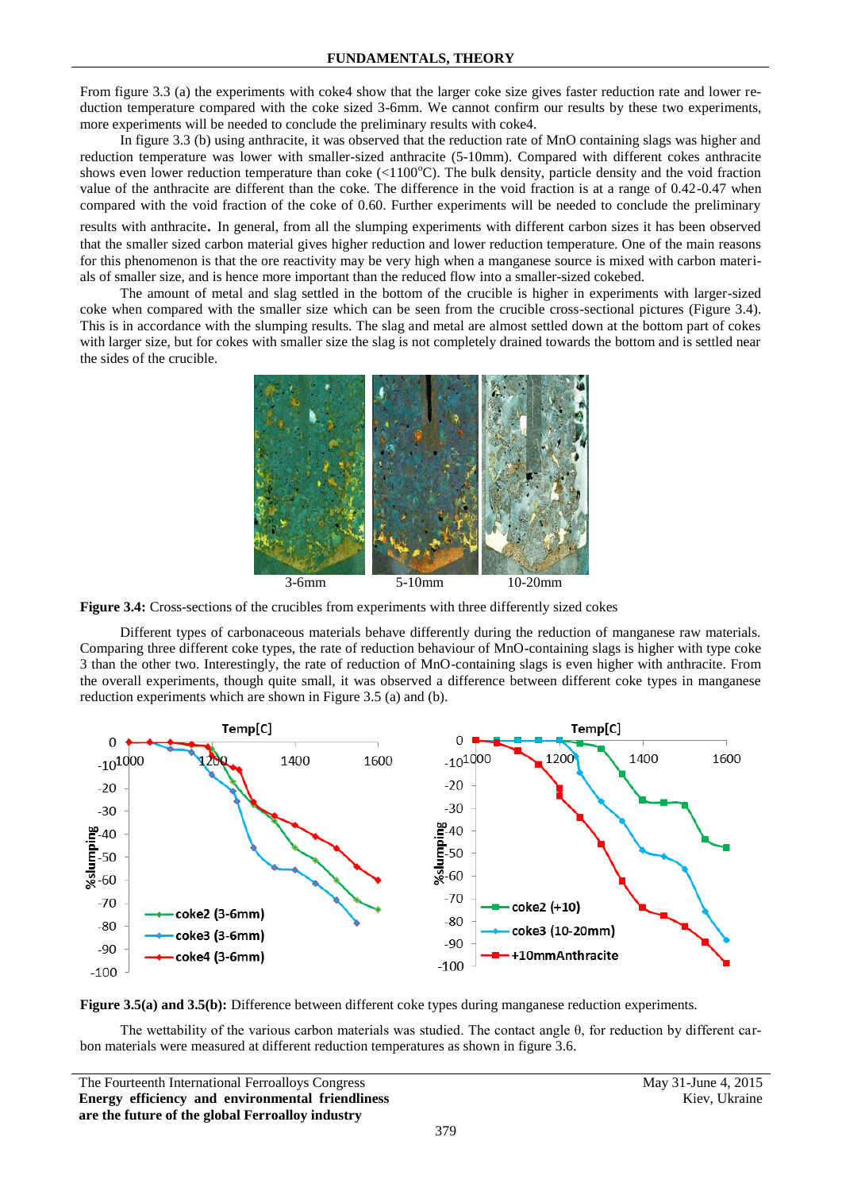From figure 3.3 (a) the experiments with coke4 show that the larger coke size gives faster reduction rate and lower reduction temperature compared with the coke sized 3-6mm. We cannot confirm our results by these two experiments, more experiments will be needed to conclude the preliminary results with coke4.

In figure 3.3 (b) using anthracite, it was observed that the reduction rate of MnO containing slags was higher and reduction temperature was lower with smaller-sized anthracite (5-10mm). Compared with different cokes anthracite shows even lower reduction temperature than coke  $(<1100^{\circ}C$ ). The bulk density, particle density and the void fraction value of the anthracite are different than the coke. The difference in the void fraction is at a range of 0.42-0.47 when compared with the void fraction of the coke of 0.60. Further experiments will be needed to conclude the preliminary

results with anthracite. In general, from all the slumping experiments with different carbon sizes it has been observed that the smaller sized carbon material gives higher reduction and lower reduction temperature. One of the main reasons for this phenomenon is that the ore reactivity may be very high when a manganese source is mixed with carbon materials of smaller size, and is hence more important than the reduced flow into a smaller-sized cokebed.

The amount of metal and slag settled in the bottom of the crucible is higher in experiments with larger-sized coke when compared with the smaller size which can be seen from the crucible cross-sectional pictures (Figure 3.4). This is in accordance with the slumping results. The slag and metal are almost settled down at the bottom part of cokes with larger size, but for cokes with smaller size the slag is not completely drained towards the bottom and is settled near the sides of the crucible.



**Figure 3.4:** Cross-sections of the crucibles from experiments with three differently sized cokes

Different types of carbonaceous materials behave differently during the reduction of manganese raw materials. Comparing three different coke types, the rate of reduction behaviour of MnO-containing slags is higher with type coke 3 than the other two. Interestingly, the rate of reduction of MnO-containing slags is even higher with anthracite. From the overall experiments, though quite small, it was observed a difference between different coke types in manganese reduction experiments which are shown in Figure 3.5 (a) and (b).





The wettability of the various carbon materials was studied. The contact angle  $\theta$ , for reduction by different carbon materials were measured at different reduction temperatures as shown in figure 3.6.

| The Fourteenth International Ferroalloys Congress |  |  |                                                  |  |  |  |
|---------------------------------------------------|--|--|--------------------------------------------------|--|--|--|
|                                                   |  |  | Energy efficiency and environmental friendliness |  |  |  |
| are the future of the global Ferroalloy industry  |  |  |                                                  |  |  |  |

May  $31$ -June 4, 2015 Kiev, Ukraine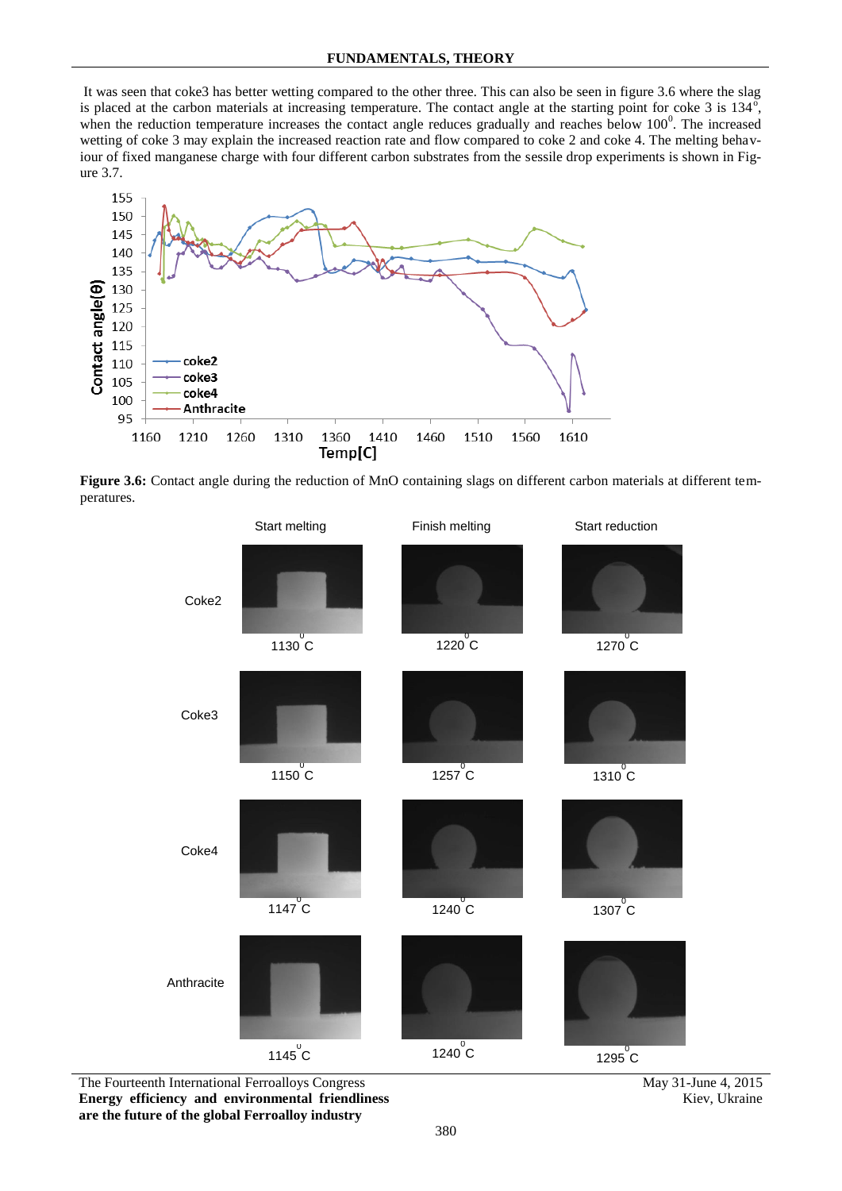It was seen that coke3 has better wetting compared to the other three. This can also be seen in figure 3.6 where the slag is placed at the carbon materials at increasing temperature. The contact angle at the starting point for coke  $3$  is  $134^\circ$ , when the reduction temperature increases the contact angle reduces gradually and reaches below  $100^{\circ}$ . The increased wetting of coke 3 may explain the increased reaction rate and flow compared to coke 2 and coke 4. The melting behaviour of fixed manganese charge with four different carbon substrates from the sessile drop experiments is shown in Figure 3.7.



**Figure 3.6:** Contact angle during the reduction of MnO containing slags on different carbon materials at different temperatures.



The Fourteenth International Ferroalloys Congress May 31-June 4, 2015 **Energy efficiency and environmental friendliness are the future of the global Ferroalloy industry**

Kiev, Ukraine